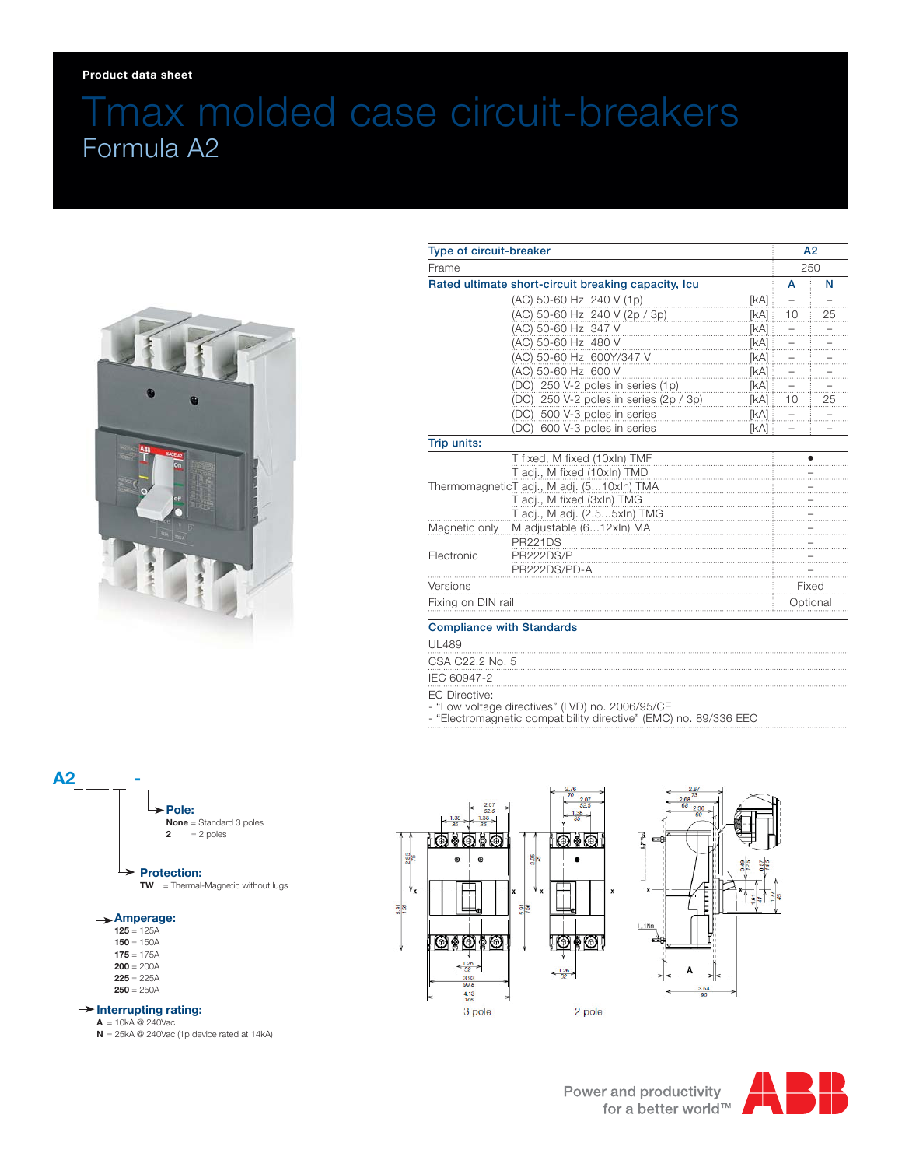## Tmax molded case circuit-breakers Formula A2



| Type of circuit-breaker                                      |                                           |        | A2<br>250      |    |
|--------------------------------------------------------------|-------------------------------------------|--------|----------------|----|
| Frame<br>Rated ultimate short-circuit breaking capacity, Icu |                                           |        |                |    |
|                                                              |                                           |        | A              | N  |
|                                                              | (AC) 50-60 Hz 240 V (1p)                  | [kA] : | $\overline{a}$ |    |
|                                                              | (AC) 50-60 Hz 240 V (2p / 3p)             | [kA]   | 10             | 25 |
|                                                              | (AC) 50-60 Hz 347 V                       | [kA]   |                |    |
|                                                              | (AC) 50-60 Hz 480 V                       | [kA]   |                |    |
|                                                              | (AC) 50-60 Hz 600Y/347 V                  | [kA]   |                |    |
|                                                              | (AC) 50-60 Hz 600 V                       | [kA]   |                |    |
|                                                              | (DC) 250 V-2 poles in series (1p)         | [kA]   |                |    |
|                                                              | (DC) 250 V-2 poles in series (2p / 3p)    | [kA]   | 10             | 25 |
|                                                              | (DC) 500 V-3 poles in series              | [kA]   |                |    |
|                                                              | (DC) 600 V-3 poles in series              | [kA] : |                |    |
| Trip units:                                                  |                                           |        |                |    |
|                                                              | T fixed, M fixed (10xln) TMF              |        |                |    |
|                                                              | T adj., M fixed (10xln) TMD               |        |                |    |
|                                                              | ThermomagneticT adj., M adj. (510xln) TMA |        |                |    |
|                                                              | T adj., M fixed (3xln) TMG                |        |                |    |
|                                                              | T adj., M adj. (2.55xln) TMG              |        |                |    |
| Magnetic only                                                | M adjustable (612xln) MA                  |        |                |    |
|                                                              | <b>PR221DS</b>                            |        |                |    |
| Electronic                                                   | PR222DS/P                                 |        |                |    |
|                                                              | PR222DS/PD-A                              |        |                |    |
| Versions                                                     |                                           |        | Fixed          |    |
| Fixing on DIN rail                                           |                                           |        | Optional       |    |
| <b>Compliance with Standards</b>                             |                                           |        |                |    |
|                                                              |                                           |        |                |    |

## UL489

CSA C22.2 No. 5

IEC 60947-2

EC Directive:

- "Low voltage directives" (LVD) no. 2006/95/CE

- "Electromagnetic compatibility directive" (EMC) no. 89/336 EEC



 $A = 10kA \otimes 240\text{Vac}$ 

**N** = 25kA @ 240Vac (1p device rated at 14kA)